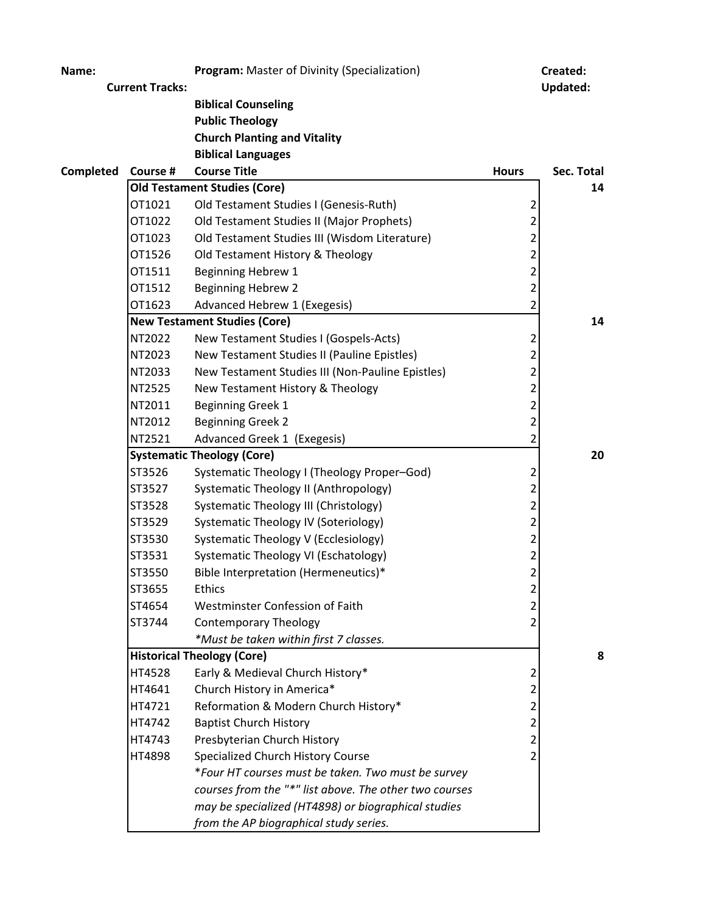| Name:     |                        | Program: Master of Divinity (Specialization)           |                          | Created:        |
|-----------|------------------------|--------------------------------------------------------|--------------------------|-----------------|
|           | <b>Current Tracks:</b> |                                                        |                          | <b>Updated:</b> |
|           |                        | <b>Biblical Counseling</b>                             |                          |                 |
|           |                        | <b>Public Theology</b>                                 |                          |                 |
|           |                        | <b>Church Planting and Vitality</b>                    |                          |                 |
|           |                        | <b>Biblical Languages</b>                              |                          |                 |
| Completed | Course #               | <b>Course Title</b>                                    | <b>Hours</b>             | Sec. Total      |
|           |                        | <b>Old Testament Studies (Core)</b>                    |                          | 14              |
|           | OT1021                 | Old Testament Studies I (Genesis-Ruth)                 | 2                        |                 |
|           | OT1022                 | Old Testament Studies II (Major Prophets)              | $\overline{c}$           |                 |
|           | OT1023                 | Old Testament Studies III (Wisdom Literature)          | $\overline{a}$           |                 |
|           | OT1526                 | Old Testament History & Theology                       | 2                        |                 |
|           | OT1511                 | Beginning Hebrew 1                                     | $\overline{\mathbf{c}}$  |                 |
|           | OT1512                 | <b>Beginning Hebrew 2</b>                              | 2                        |                 |
|           | OT1623                 | Advanced Hebrew 1 (Exegesis)                           | 2                        |                 |
|           |                        | <b>New Testament Studies (Core)</b>                    |                          | 14              |
|           | NT2022                 | New Testament Studies I (Gospels-Acts)                 | 2                        |                 |
|           | NT2023                 | New Testament Studies II (Pauline Epistles)            | $\overline{2}$           |                 |
|           | NT2033                 | New Testament Studies III (Non-Pauline Epistles)       | 2                        |                 |
|           | NT2525                 | New Testament History & Theology                       | $\overline{\mathbf{c}}$  |                 |
|           | NT2011                 | <b>Beginning Greek 1</b>                               | 2                        |                 |
|           | NT2012                 | <b>Beginning Greek 2</b>                               | 2                        |                 |
|           | NT2521                 | Advanced Greek 1 (Exegesis)                            | 2                        |                 |
|           |                        | <b>Systematic Theology (Core)</b>                      |                          | 20              |
|           | ST3526                 | Systematic Theology I (Theology Proper-God)            | 2                        |                 |
|           | ST3527                 | Systematic Theology II (Anthropology)                  | 2                        |                 |
|           | ST3528                 | Systematic Theology III (Christology)                  | 2                        |                 |
|           | ST3529                 | <b>Systematic Theology IV (Soteriology)</b>            | 2                        |                 |
|           | ST3530                 | Systematic Theology V (Ecclesiology)                   | $\overline{c}$           |                 |
|           | ST3531                 | Systematic Theology VI (Eschatology)                   | 2                        |                 |
|           | ST3550                 | Bible Interpretation (Hermeneutics)*                   | $\overline{\phantom{a}}$ |                 |
|           | ST3655                 | Ethics                                                 | 2                        |                 |
|           | ST4654                 | Westminster Confession of Faith                        | 2                        |                 |
|           | ST3744                 | <b>Contemporary Theology</b>                           | 2                        |                 |
|           |                        | *Must be taken within first 7 classes.                 |                          |                 |
|           |                        | <b>Historical Theology (Core)</b>                      |                          | 8               |
|           | HT4528                 | Early & Medieval Church History*                       | 2                        |                 |
|           | HT4641                 | Church History in America*                             | 2                        |                 |
|           | HT4721                 | Reformation & Modern Church History*                   | 2                        |                 |
|           | HT4742                 | <b>Baptist Church History</b>                          | 2                        |                 |
|           | HT4743                 | Presbyterian Church History                            | $\overline{c}$           |                 |
|           | <b>HT4898</b>          | Specialized Church History Course                      | 2                        |                 |
|           |                        | *Four HT courses must be taken. Two must be survey     |                          |                 |
|           |                        | courses from the "*" list above. The other two courses |                          |                 |
|           |                        | may be specialized (HT4898) or biographical studies    |                          |                 |
|           |                        | from the AP biographical study series.                 |                          |                 |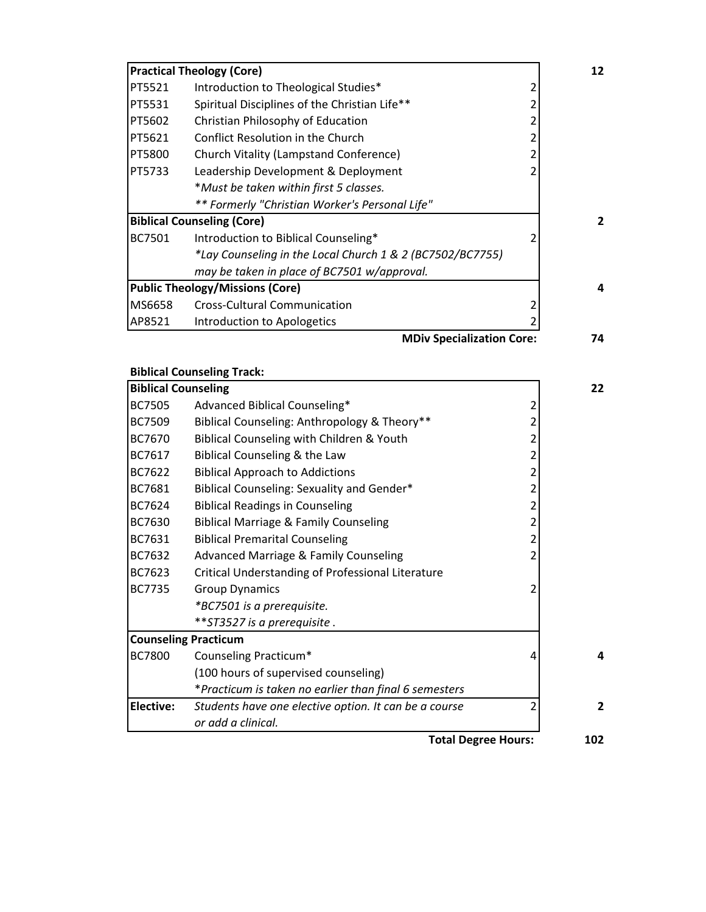|        | <b>Practical Theology (Core)</b>                          | 12  |
|--------|-----------------------------------------------------------|-----|
| PT5521 | Introduction to Theological Studies*                      |     |
| PT5531 | Spiritual Disciplines of the Christian Life**             |     |
| PT5602 | Christian Philosophy of Education                         |     |
| PT5621 | Conflict Resolution in the Church                         |     |
| PT5800 | Church Vitality (Lampstand Conference)                    |     |
| PT5733 | Leadership Development & Deployment                       |     |
|        | *Must be taken within first 5 classes.                    |     |
|        | ** Formerly "Christian Worker's Personal Life"            |     |
|        | <b>Biblical Counseling (Core)</b>                         | 2   |
| BC7501 | Introduction to Biblical Counseling*                      |     |
|        | *Lay Counseling in the Local Church 1 & 2 (BC7502/BC7755) |     |
|        | may be taken in place of BC7501 w/approval.               |     |
|        | <b>Public Theology/Missions (Core)</b>                    | 4   |
| MS6658 | <b>Cross-Cultural Communication</b>                       |     |
| AP8521 | Introduction to Apologetics                               |     |
|        | <b>MADIU Canoinlination Cove</b>                          | ת ל |

**MDiv Specialization Core: 74**

|                            | <b>Biblical Counseling Track:</b>                     |                          |                |
|----------------------------|-------------------------------------------------------|--------------------------|----------------|
| <b>Biblical Counseling</b> |                                                       |                          | 22             |
| <b>BC7505</b>              | Advanced Biblical Counseling*                         | 2                        |                |
| <b>BC7509</b>              | Biblical Counseling: Anthropology & Theory**          | $\overline{\mathcal{L}}$ |                |
| BC7670                     | Biblical Counseling with Children & Youth             | 2                        |                |
| BC7617                     | Biblical Counseling & the Law                         | 2                        |                |
| BC7622                     | <b>Biblical Approach to Addictions</b>                | $\overline{2}$           |                |
| BC7681                     | Biblical Counseling: Sexuality and Gender*            | 2                        |                |
| BC7624                     | <b>Biblical Readings in Counseling</b>                | 2                        |                |
| BC7630                     | <b>Biblical Marriage &amp; Family Counseling</b>      | $\overline{2}$           |                |
| BC7631                     | <b>Biblical Premarital Counseling</b>                 | $\overline{2}$           |                |
| BC7632                     | <b>Advanced Marriage &amp; Family Counseling</b>      | 2                        |                |
| BC7623                     | Critical Understanding of Professional Literature     |                          |                |
| BC7735                     | <b>Group Dynamics</b>                                 | 2                        |                |
|                            | *BC7501 is a prerequisite.                            |                          |                |
|                            | ** ST3527 is a prerequisite.                          |                          |                |
|                            | <b>Counseling Practicum</b>                           |                          |                |
| <b>BC7800</b>              | Counseling Practicum*                                 | 4                        | 4              |
|                            | (100 hours of supervised counseling)                  |                          |                |
|                            | *Practicum is taken no earlier than final 6 semesters |                          |                |
| Elective:                  | Students have one elective option. It can be a course | 2                        | $\overline{2}$ |
|                            | or add a clinical.                                    |                          |                |
|                            |                                                       |                          |                |

**Total Degree Hours: 102**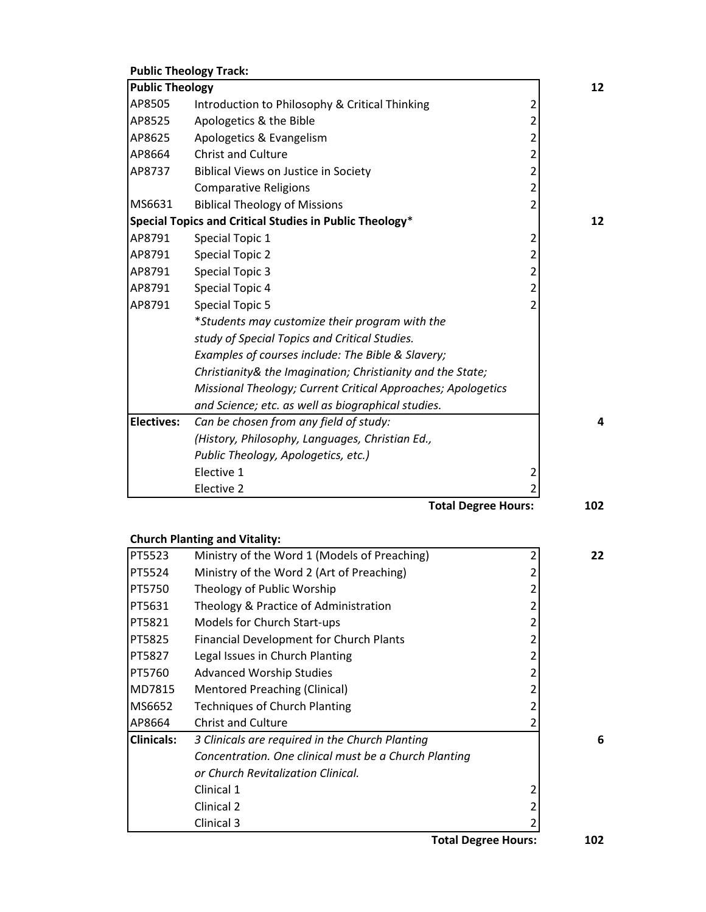|                        | <b>Public Theology Track:</b>                                |                |    |
|------------------------|--------------------------------------------------------------|----------------|----|
| <b>Public Theology</b> |                                                              |                | 12 |
| AP8505                 | Introduction to Philosophy & Critical Thinking               | $\overline{2}$ |    |
| AP8525                 | Apologetics & the Bible                                      | 2              |    |
| AP8625                 | Apologetics & Evangelism                                     | 2              |    |
| AP8664                 | <b>Christ and Culture</b>                                    | $\overline{2}$ |    |
| AP8737                 | Biblical Views on Justice in Society                         | 2              |    |
|                        | <b>Comparative Religions</b>                                 | $\overline{2}$ |    |
| MS6631                 | <b>Biblical Theology of Missions</b>                         | $\overline{2}$ |    |
|                        | Special Topics and Critical Studies in Public Theology*      |                | 12 |
| AP8791                 | Special Topic 1                                              | 2              |    |
| AP8791                 | <b>Special Topic 2</b>                                       | 2              |    |
| AP8791                 | <b>Special Topic 3</b>                                       | 2              |    |
| AP8791                 | Special Topic 4                                              | $\overline{2}$ |    |
| AP8791                 | <b>Special Topic 5</b>                                       | $\overline{2}$ |    |
|                        | *Students may customize their program with the               |                |    |
|                        | study of Special Topics and Critical Studies.                |                |    |
|                        | Examples of courses include: The Bible & Slavery;            |                |    |
|                        | Christianity& the Imagination; Christianity and the State;   |                |    |
|                        | Missional Theology; Current Critical Approaches; Apologetics |                |    |
|                        | and Science; etc. as well as biographical studies.           |                |    |
| <b>Electives:</b>      | Can be chosen from any field of study:                       |                | 4  |
|                        | (History, Philosophy, Languages, Christian Ed.,              |                |    |
|                        | Public Theology, Apologetics, etc.)                          |                |    |
|                        | Elective 1                                                   | 2              |    |
|                        | Elective 2                                                   | $\overline{2}$ |    |

**Total Degree Hours: 102**

|                   | <b>Church Planting and Vitality:</b>                  |    |
|-------------------|-------------------------------------------------------|----|
| <b>PT5523</b>     | Ministry of the Word 1 (Models of Preaching)          | 22 |
| <b>PT5524</b>     | Ministry of the Word 2 (Art of Preaching)             |    |
| <b>PT5750</b>     | Theology of Public Worship                            |    |
| <b>PT5631</b>     | Theology & Practice of Administration                 |    |
| <b>PT5821</b>     | <b>Models for Church Start-ups</b>                    |    |
| PT5825            | <b>Financial Development for Church Plants</b>        |    |
| <b>PT5827</b>     | Legal Issues in Church Planting                       |    |
| PT5760            | <b>Advanced Worship Studies</b>                       |    |
| MD7815            | <b>Mentored Preaching (Clinical)</b>                  |    |
| MS6652            | <b>Techniques of Church Planting</b>                  |    |
| AP8664            | <b>Christ and Culture</b>                             |    |
| <b>Clinicals:</b> | 3 Clinicals are required in the Church Planting       | 6  |
|                   | Concentration. One clinical must be a Church Planting |    |
|                   | or Church Revitalization Clinical.                    |    |
|                   | Clinical 1                                            |    |
|                   | Clinical 2                                            |    |
|                   | Clinical 3                                            |    |